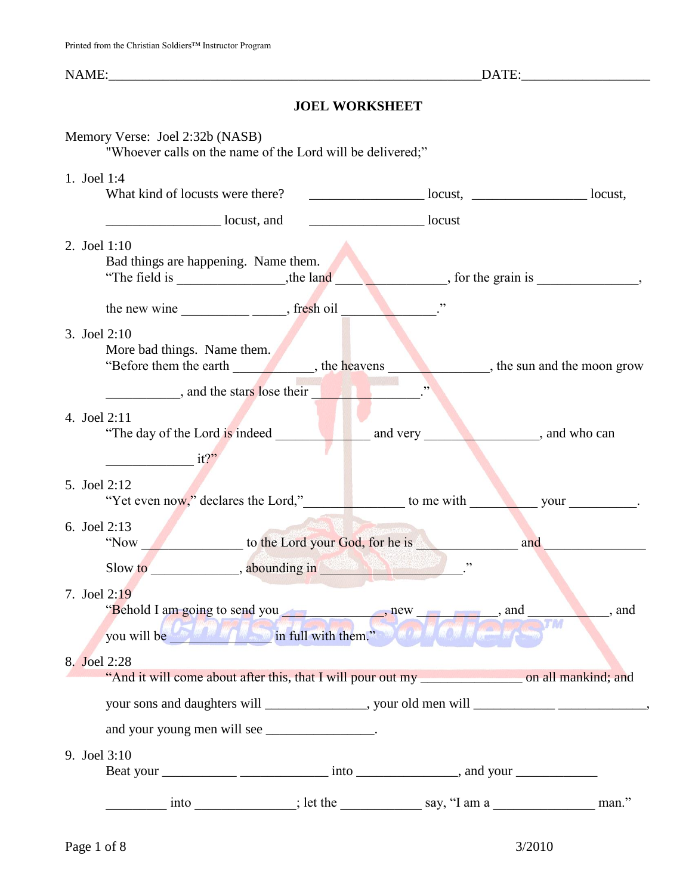# **JOEL WORKSHEET**

|             | Memory Verse: Joel 2:32b (NASB)<br>"Whoever calls on the name of the Lord will be delivered;"                                                                                                                                  |                                                                   |                                       |                     |
|-------------|--------------------------------------------------------------------------------------------------------------------------------------------------------------------------------------------------------------------------------|-------------------------------------------------------------------|---------------------------------------|---------------------|
| 1. Joel 1:4 | What kind of locusts were there?                                                                                                                                                                                               | $\frac{1}{2}$ locust, $\frac{1}{2}$ locust, $\frac{1}{2}$ locust, |                                       |                     |
|             | <u>locust</u> , and                                                                                                                                                                                                            | locust                                                            |                                       |                     |
|             | 2. Joel 1:10<br>Bad things are happening. Name them.                                                                                                                                                                           |                                                                   | $\sim$ , for the grain is $\sim$ ,    |                     |
|             | the new wine $\_\_\_\_\_\_\_\_\_\$ fresh oil                                                                                                                                                                                   |                                                                   |                                       |                     |
|             | 3. Joel 2:10<br>More bad things. Name them.                                                                                                                                                                                    |                                                                   | $\bullet$ , the sun and the moon grow |                     |
|             | and the stars lose their                                                                                                                                                                                                       |                                                                   |                                       |                     |
|             | 4. Joel 2:11                                                                                                                                                                                                                   |                                                                   |                                       |                     |
|             | $\frac{1}{2}$ it?"                                                                                                                                                                                                             |                                                                   |                                       |                     |
|             | 5. Joel 2:12                                                                                                                                                                                                                   |                                                                   |                                       |                     |
|             | 6. Joel 2:13<br>"Now _________________ to the Lord your God, for he is __________________________                                                                                                                              |                                                                   |                                       | and $\qquad \qquad$ |
|             | Slow to substitution of the state of the state of the state of the state of the state of the state of the state of the state of the state of the state of the state of the state of the state of the state of the state of the |                                                                   |                                       |                     |
|             | 7. Joel 2:19                                                                                                                                                                                                                   |                                                                   |                                       |                     |
|             | you will be a strong way in full with them."                                                                                                                                                                                   |                                                                   |                                       |                     |
|             | 8. Joel 2:28                                                                                                                                                                                                                   |                                                                   |                                       |                     |
|             | your sons and daughters will _______________, your old men will _______________________,                                                                                                                                       |                                                                   |                                       |                     |
|             | and your young men will see ________________.                                                                                                                                                                                  |                                                                   |                                       |                     |
|             | 9. Joel 3:10                                                                                                                                                                                                                   |                                                                   |                                       |                     |
|             |                                                                                                                                                                                                                                |                                                                   |                                       |                     |
|             |                                                                                                                                                                                                                                |                                                                   |                                       |                     |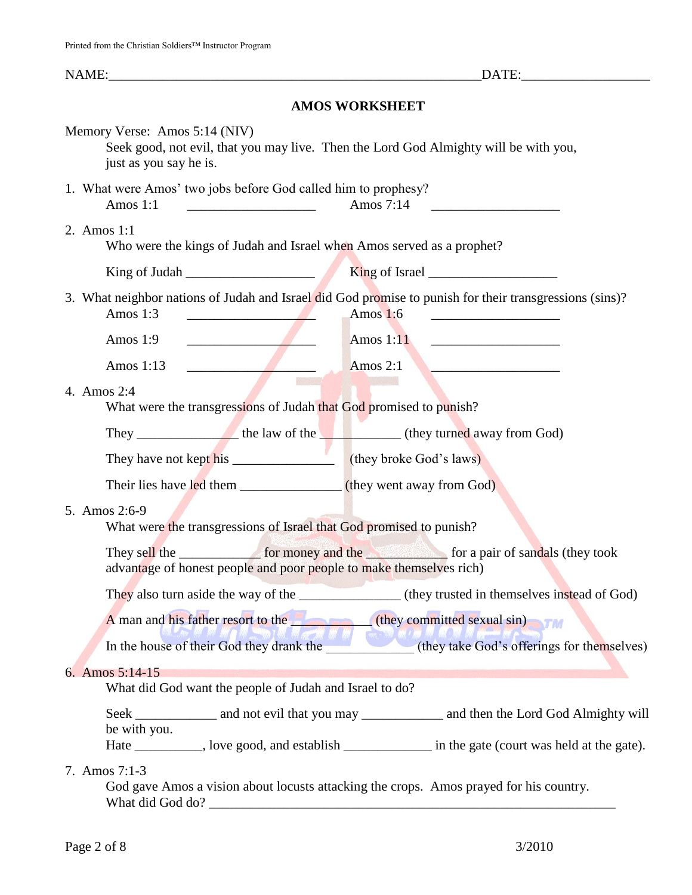| NAME:                                                                                                                                                                                                                                               |                                                                                                                     |  |  |  |  |  |
|-----------------------------------------------------------------------------------------------------------------------------------------------------------------------------------------------------------------------------------------------------|---------------------------------------------------------------------------------------------------------------------|--|--|--|--|--|
| <b>AMOS WORKSHEET</b>                                                                                                                                                                                                                               |                                                                                                                     |  |  |  |  |  |
| Memory Verse: Amos 5:14 (NIV)<br>just as you say he is.                                                                                                                                                                                             | Seek good, not evil, that you may live. Then the Lord God Almighty will be with you,                                |  |  |  |  |  |
| 1. What were Amos' two jobs before God called him to prophesy?<br>$\frac{1}{2}$ Amos 7:14<br>Amos $1:1$                                                                                                                                             |                                                                                                                     |  |  |  |  |  |
| 2. Amos 1:1                                                                                                                                                                                                                                         | Who were the kings of Judah and Israel when Amos served as a prophet?                                               |  |  |  |  |  |
|                                                                                                                                                                                                                                                     |                                                                                                                     |  |  |  |  |  |
| Amos $1:3$<br>the contract of the contract of the                                                                                                                                                                                                   | 3. What neighbor nations of Judah and Israel did God promise to punish for their transgressions (sins)?<br>Amos 1:6 |  |  |  |  |  |
| Amos $1:9$<br><u> Albany a strong and the strong strong and the strong strong strong and the strong strong strong strong strong strong strong strong strong strong strong strong strong strong strong strong strong strong strong strong stron</u>  | Amos $1:11$<br><u> 1990 - Johann Barn, mars ann an t-Amhain ann an t-</u>                                           |  |  |  |  |  |
| <u> Alban Maria Maria San Barat da Barat da Barat da Barat da Barat da Barat da Barat da Barat da Barat da Barat da Barat da Barat da Barat da Barat da Barat da Barat da Barat da Barat da Barat da Barat da Barat da Barat da </u><br>Amos $1:13$ | Amos $2:1$                                                                                                          |  |  |  |  |  |
| 4. Amos 2:4<br>What were the transgressions of Judah that God promised to punish?                                                                                                                                                                   |                                                                                                                     |  |  |  |  |  |
|                                                                                                                                                                                                                                                     |                                                                                                                     |  |  |  |  |  |
|                                                                                                                                                                                                                                                     |                                                                                                                     |  |  |  |  |  |
|                                                                                                                                                                                                                                                     | Their lies have led them ________________(they went away from God)                                                  |  |  |  |  |  |
| 5. Amos 2:6-9<br>What were the transgressions of Israel that God promised to punish?                                                                                                                                                                |                                                                                                                     |  |  |  |  |  |
| advantage of honest people and poor people to make themselves rich)                                                                                                                                                                                 |                                                                                                                     |  |  |  |  |  |
|                                                                                                                                                                                                                                                     |                                                                                                                     |  |  |  |  |  |
|                                                                                                                                                                                                                                                     | A man and his father resort to the (they committed sexual sin)                                                      |  |  |  |  |  |
|                                                                                                                                                                                                                                                     | In the house of their God they drank the (they take God's offerings for themselves)                                 |  |  |  |  |  |
| 6. Amos 5:14-15<br>What did God want the people of Judah and Israel to do?                                                                                                                                                                          |                                                                                                                     |  |  |  |  |  |
| be with you.                                                                                                                                                                                                                                        | Seek ______________ and not evil that you may ______________ and then the Lord God Almighty will                    |  |  |  |  |  |
|                                                                                                                                                                                                                                                     | Hate _________, love good, and establish _____________ in the gate (court was held at the gate).                    |  |  |  |  |  |
| 7. Amos 7:1-3                                                                                                                                                                                                                                       | God gave Amos a vision about locusts attacking the crops. Amos prayed for his country.<br>What did God do?          |  |  |  |  |  |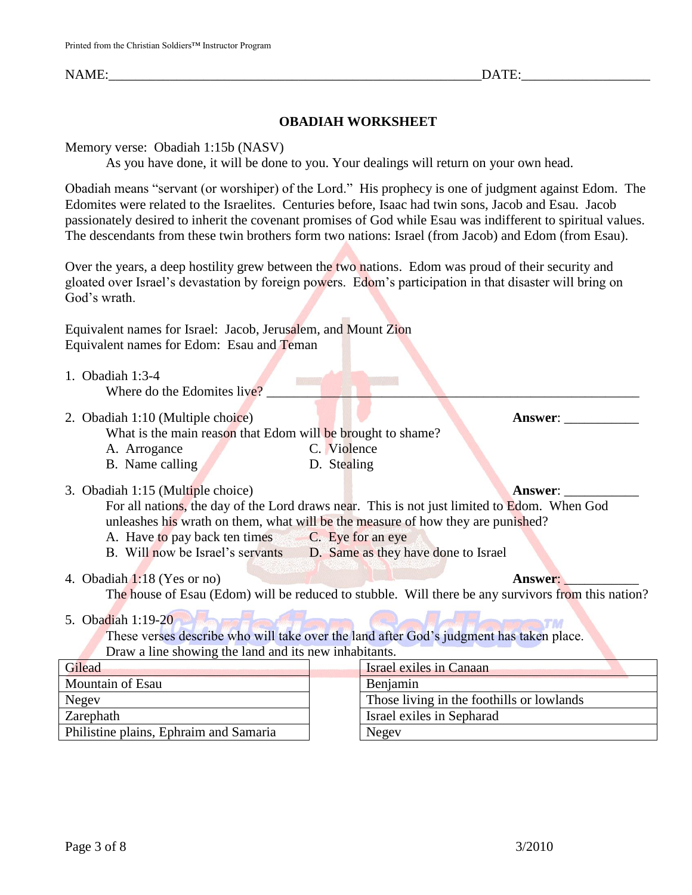NAME: THE SAME SERVICE SERVICE SERVICE SERVICE SERVICE SERVICE SERVICE SERVICE SERVICE SERVICE SERVICE SERVICE

# **OBADIAH WORKSHEET**

Memory verse: Obadiah 1:15b (NASV)

As you have done, it will be done to you. Your dealings will return on your own head.

Obadiah means "servant (or worshiper) of the Lord." His prophecy is one of judgment against Edom. The Edomites were related to the Israelites. Centuries before, Isaac had twin sons, Jacob and Esau. Jacob passionately desired to inherit the covenant promises of God while Esau was indifferent to spiritual values. The descendants from these twin brothers form two nations: Israel (from Jacob) and Edom (from Esau).

Over the years, a deep hostility grew between the two nations. Edom was proud of their security and gloated over Israel's devastation by foreign powers. Edom's participation in that disaster will bring on God's wrath.

Equivalent names for Israel: Jacob, Jerusalem, and Mount Zion Equivalent names for Edom: Esau and Teman

1. Obadiah 1:3-4

Where do the Edomites live?

2. Obadiah 1:10 (Multiple choice) **Answer**:

What is the main reason that Edom will be brought to shame?

- A. Arrogance C. Violence
- B. Name calling D. Stealing
- 
- 3. Obadiah 1:15 (Multiple choice) **Answer**: \_\_\_\_\_\_\_\_\_\_\_

For all nations, the day of the Lord draws near. This is not just limited to Edom. When God unleashes his wrath on them, what will be the measure of how they are punished?

- A. Have to pay back ten times C. Eye for an eye
- B. Will now be Israel's servants D. Same as they have done to Israel

# 4. Obadiah 1:18 (Yes or no) **Answer: Answer: Answer: Answer: Answer: Answer: Answer: Answer: Answer: Answer: Answer: Answer: Answer: Answer: Answer: Answer: Answer: Answer: Answer: Ans**

The house of Esau (Edom) will be reduced to stubble. Will there be any survivors from this nation?

# 5. Obadiah 1:19-20

These verses describe who will take over the land after God's judgment has taken place. Draw a line showing the land and its new inhabitants.

| Gilead                                 | Israel exiles in Canaan                   |
|----------------------------------------|-------------------------------------------|
| <b>Mountain of Esau</b>                | Benjamin                                  |
| Negev                                  | Those living in the foothills or lowlands |
| Zarephath                              | Israel exiles in Sepharad                 |
| Philistine plains, Ephraim and Samaria | Negev                                     |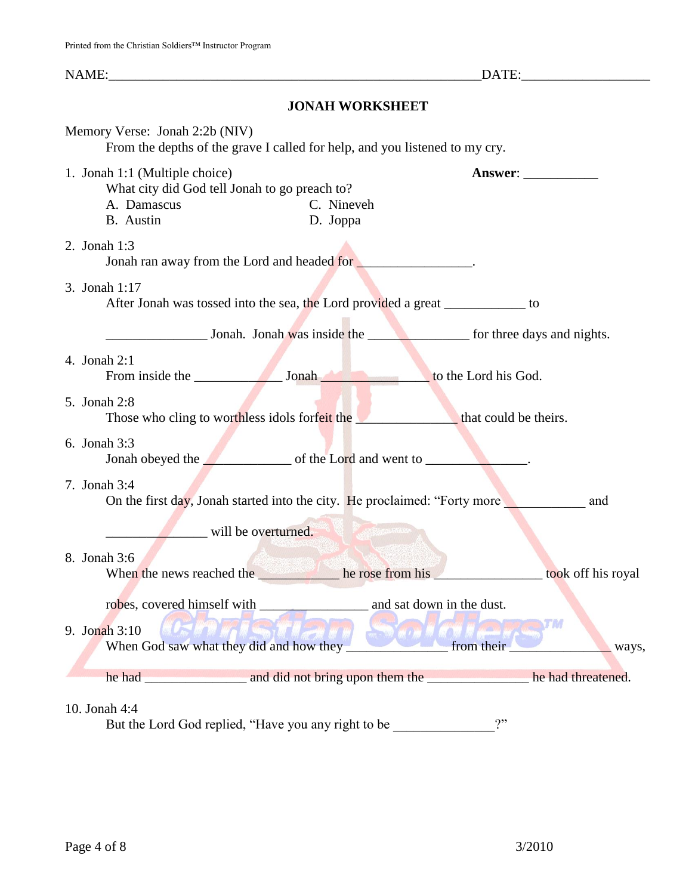NAME: THE SAME SERVICE SERVICE SERVICE SERVICE SERVICE SERVICE SERVICE SERVICE SERVICE SERVICE SERVICE SERVICE **JONAH WORKSHEET** Memory Verse: Jonah 2:2b (NIV) From the depths of the grave I called for help, and you listened to my cry. 1. Jonah 1:1 (Multiple choice) **Answer**: \_\_\_\_\_\_\_\_\_\_\_ What city did God tell Jonah to go preach to? A. Damascus C. Nineveh B. Austin D. Joppa 2. Jonah 1:3 Jonah ran away from the Lord and headed for  $\blacksquare$ 3. Jonah 1:17 After Jonah was tossed into the sea, the Lord provided a great \_\_\_\_\_\_\_\_\_\_\_\_\_ to \_\_\_\_\_\_\_\_\_\_\_\_\_\_\_ Jonah. Jonah was inside the \_\_\_\_\_\_\_\_\_\_\_\_\_\_\_ for three days and nights. 4. Jonah 2:1 From inside the Jonah Lord his God. 5. Jonah 2:8 Those who cling to worthless idols forfeit the **the set of the set of the set of the set of the set of the set of the set of the set of the set of the set of the set of the set of the set of the set of the set of the set o** 6. Jonah 3:3 Jonah obeyed the **Lord** and went to \_\_\_\_\_\_\_\_\_\_\_\_\_\_. 7. Jonah 3:4 On the first day, Jonah started into the city. He proclaimed: "Forty more and will be overturned. 8. Jonah 3:6 When the news reached the <u>the second the second the second the second term</u> he rose from his  $\frac{1}{2}$  took off his royal robes, covered himself with \_\_\_\_\_\_\_\_\_\_\_\_\_\_\_\_ and sat down in the dust. TM 9. Jonah 3:10 When God saw what they did and how they **the contract of the contract of the contract of the contract of the contract of the contract of the contract of the contract of the contract of the contract of the contract of the c** he had \_\_\_\_\_\_\_\_\_\_\_\_\_\_\_ and did not bring upon them the \_\_\_\_\_\_\_\_\_\_\_\_\_\_\_ he had threatened.

## 10. Jonah 4:4

But the Lord God replied, "Have you any right to be \_\_\_\_\_\_\_\_\_\_\_\_\_\_\_?"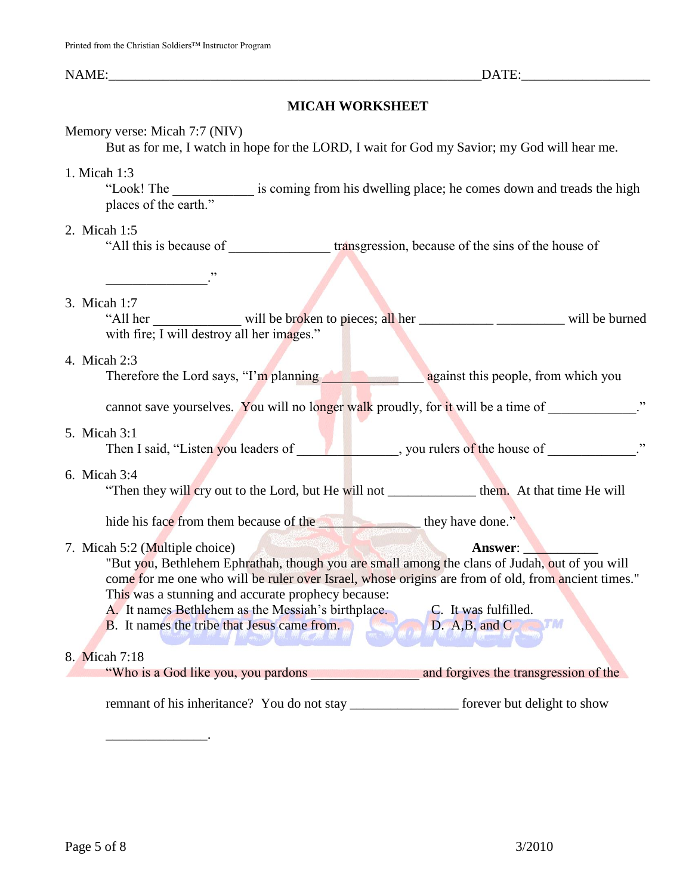## **MICAH WORKSHEET**

## Memory verse: Micah 7:7 (NIV)

But as for me, I watch in hope for the LORD, I wait for God my Savior; my God will hear me.

### 1. Micah 1:3

"Look! The \_\_\_\_\_\_\_\_\_\_\_\_ is coming from his dwelling place; he comes down and treads the high places of the earth."

## 2. Micah 1:5

"All this is because of the sins of the house of the sins of the house of

## 3. Micah 1:7

"All her will be broken to pieces; all her \_\_\_\_\_\_\_\_\_\_\_\_\_\_\_ will be burned with fire; I will destroy all her images."

### 4. Micah 2:3

Therefore the Lord says, "I'm planning a state against this people, from which you

cannot save yourselves. You will no longer walk proudly, for it will be a time of  $\ddot{\hspace{1cm}}$ ."

### 5. Micah 3:1

Then I said, "Listen you leaders of \_\_\_\_\_\_\_\_\_\_\_\_\_, you rulers of the house of \_\_\_\_\_\_\_\_\_\_\_\_."

### 6. Micah 3:4

"Then they will cry out to the Lord, but He will not \_\_\_\_\_\_\_\_\_\_\_\_\_\_\_\_ them. At that time He will

hide his face from them because of the the state of the state of the state of the state of the state of the state of the state of the state of the state of the state of the state of the state of the state of the state of t

## 7. Micah 5:2 (Multiple choice) **Answer: Answer:**

\_\_\_\_\_\_\_\_\_\_\_\_\_\_\_.

"But you, Bethlehem Ephrathah, though you are small among the clans of Judah, out of you will come for me one who will be ruler over Israel, whose origins are from of old, from ancient times." This was a stunning and accurate prophecy because:

A. It names Bethlehem as the Messiah's birthplace. C. It was fulfilled. B. It names the tribe that Jesus came from. D. A,B, and C. T.M.

## 8. Micah 7:18

"Who is a God like you, you pardons \_\_\_\_\_\_\_\_\_\_\_\_\_\_\_\_ and forgives the transgression of the

remnant of his inheritance? You do not stay forever but delight to show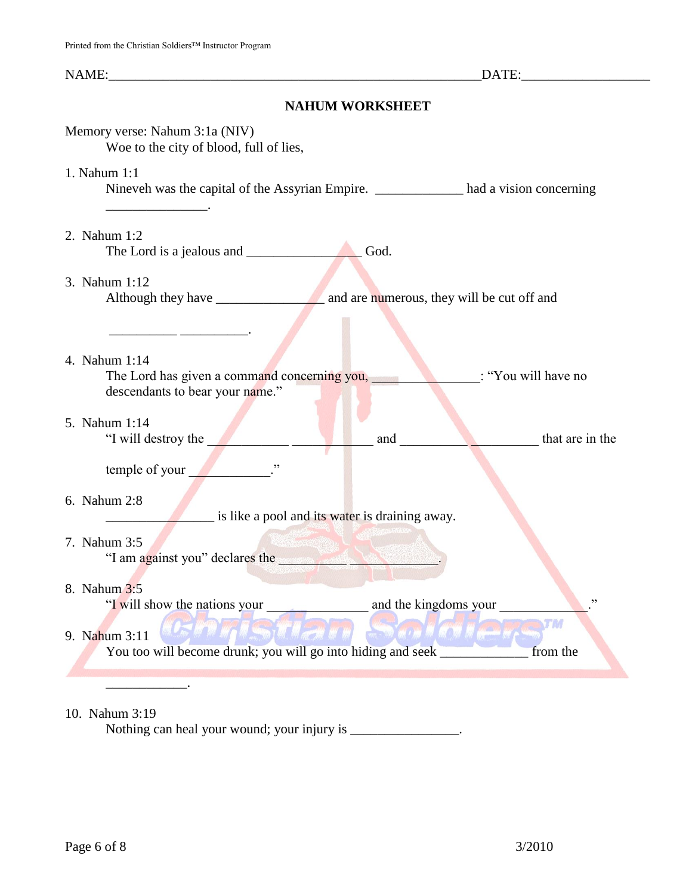# **NAHUM WORKSHEET**

| Memory verse: Nahum 3:1a (NIV)<br>Woe to the city of blood, full of lies,                                                                                    |  |  |  |  |  |
|--------------------------------------------------------------------------------------------------------------------------------------------------------------|--|--|--|--|--|
| 1. Nahum 1:1<br>Nineveh was the capital of the Assyrian Empire. __________________ had a vision concerning<br>$\mathcal{L} = \mathcal{L} \times \mathcal{L}$ |  |  |  |  |  |
| 2. Nahum 1:2<br>God.                                                                                                                                         |  |  |  |  |  |
| 3. Nahum 1:12                                                                                                                                                |  |  |  |  |  |
| 4. Nahum 1:14<br>The Lord has given a command concerning you,<br>: "You will have no<br>descendants to bear your name."                                      |  |  |  |  |  |
| 5. Nahum 1:14<br>"I will destroy the<br>that are in the<br>and<br>temple of your                                                                             |  |  |  |  |  |
| 6. Nahum 2:8<br>is like a pool and its water is draining away.                                                                                               |  |  |  |  |  |
| 7. Nahum 3:5<br>"I am against you" declares the                                                                                                              |  |  |  |  |  |
| 8. Nahum 3:5<br>"I will show the nations your<br>and the kingdoms your                                                                                       |  |  |  |  |  |
| THE SAND WAY AND AND AND AND AND WORK<br><b>WHEN</b> I AN<br>9. Nahum 3:11<br>You too will become drunk; you will go into hiding and seek<br>from the        |  |  |  |  |  |

# 10. Nahum 3:19

Nothing can heal your wound; your injury is \_\_\_\_\_\_\_\_\_\_\_\_\_\_\_.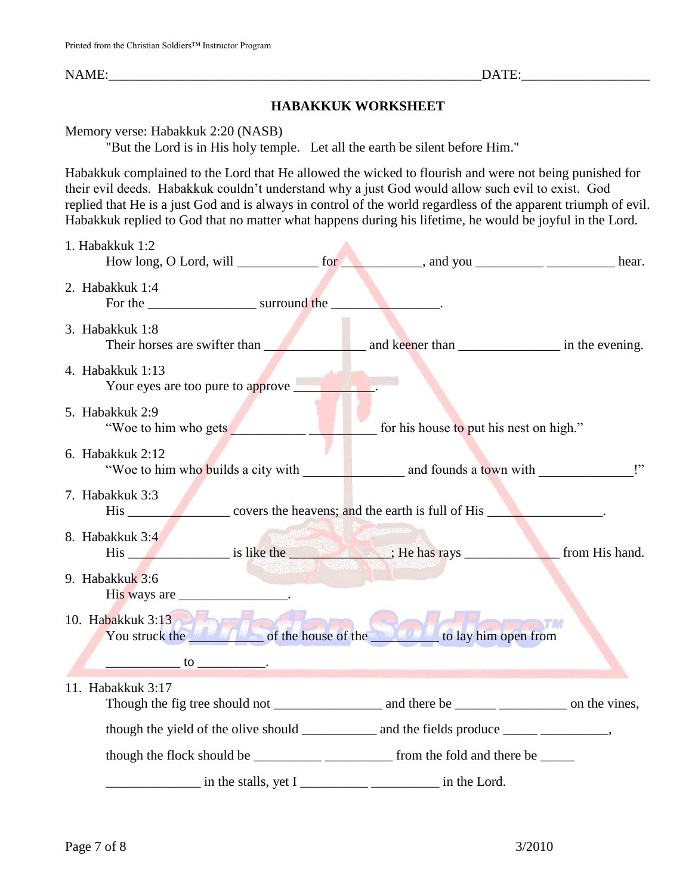# **HABAKKUK WORKSHEET**

Memory verse: Habakkuk 2:20 (NASB)

"But the Lord is in His holy temple. Let all the earth be silent before Him."

Habakkuk complained to the Lord that He allowed the wicked to flourish and were not being punished for their evil deeds. Habakkuk couldn't understand why a just God would allow such evil to exist. God replied that He is a just God and is always in control of the world regardless of the apparent triumph of evil. Habakkuk replied to God that no matter what happens during his lifetime, he would be joyful in the Lord.

| 1. Habakkuk 1:2                                                                                                                                                                                                                                                                                                                                                                                                                                                               | How long, O Lord, will _______________ for ___________, and you ________________________ hear.                                                                                                                                 |  |
|-------------------------------------------------------------------------------------------------------------------------------------------------------------------------------------------------------------------------------------------------------------------------------------------------------------------------------------------------------------------------------------------------------------------------------------------------------------------------------|--------------------------------------------------------------------------------------------------------------------------------------------------------------------------------------------------------------------------------|--|
| 2. Habakkuk 1:4                                                                                                                                                                                                                                                                                                                                                                                                                                                               |                                                                                                                                                                                                                                |  |
| 3. Habakkuk 1:8                                                                                                                                                                                                                                                                                                                                                                                                                                                               | Their horses are swifter than and keeper than the evening.                                                                                                                                                                     |  |
| 4. Habakkuk 1:13<br>Your eyes are too pure to approve                                                                                                                                                                                                                                                                                                                                                                                                                         |                                                                                                                                                                                                                                |  |
| 5. Habakkuk 2:9<br>"Woe to him who gets                                                                                                                                                                                                                                                                                                                                                                                                                                       | for his house to put his nest on high."                                                                                                                                                                                        |  |
| 6. Habakkuk 2:12                                                                                                                                                                                                                                                                                                                                                                                                                                                              |                                                                                                                                                                                                                                |  |
| 7. Habakkuk 3:3                                                                                                                                                                                                                                                                                                                                                                                                                                                               |                                                                                                                                                                                                                                |  |
| 8. Habakkuk 3:4                                                                                                                                                                                                                                                                                                                                                                                                                                                               | His is like the series is like the series of the series of the series of the series of the series of the series of the series of the series of the series of the series of the series of the series of the series of the serie |  |
| 9. Habakkuk 3:6<br>His ways are ____________________.                                                                                                                                                                                                                                                                                                                                                                                                                         |                                                                                                                                                                                                                                |  |
| 10. Habakkuk 3:13                                                                                                                                                                                                                                                                                                                                                                                                                                                             | You struck the struck of the house of the struck to lay him open from                                                                                                                                                          |  |
| $\frac{1}{\sqrt{1-\frac{1}{2}}}\cos\left(\frac{1}{2}\cos\left(\frac{1}{2}\cos\left(\frac{1}{2}\cos\left(\frac{1}{2}\cos\left(\frac{1}{2}\cos\left(\frac{1}{2}\cos\left(\frac{1}{2}\cos\left(\frac{1}{2}\cos\left(\frac{1}{2}\cos\left(\frac{1}{2}\cos\left(\frac{1}{2}\cos\left(\frac{1}{2}\cos\left(\frac{1}{2}\cos\left(\frac{1}{2}\cos\left(\frac{1}{2}\cos\left(\frac{1}{2}\cos\left(\frac{1}{2}\cos\left(\frac{1}{2}\cos\left(\frac{1}{2}\cos\left(\frac{1}{2}\cos\left$ |                                                                                                                                                                                                                                |  |
| 11. Habakkuk 3:17                                                                                                                                                                                                                                                                                                                                                                                                                                                             |                                                                                                                                                                                                                                |  |
|                                                                                                                                                                                                                                                                                                                                                                                                                                                                               |                                                                                                                                                                                                                                |  |
|                                                                                                                                                                                                                                                                                                                                                                                                                                                                               |                                                                                                                                                                                                                                |  |
|                                                                                                                                                                                                                                                                                                                                                                                                                                                                               |                                                                                                                                                                                                                                |  |
| in the stalls, yet I                                                                                                                                                                                                                                                                                                                                                                                                                                                          | $\frac{1}{2}$ in the Lord.                                                                                                                                                                                                     |  |